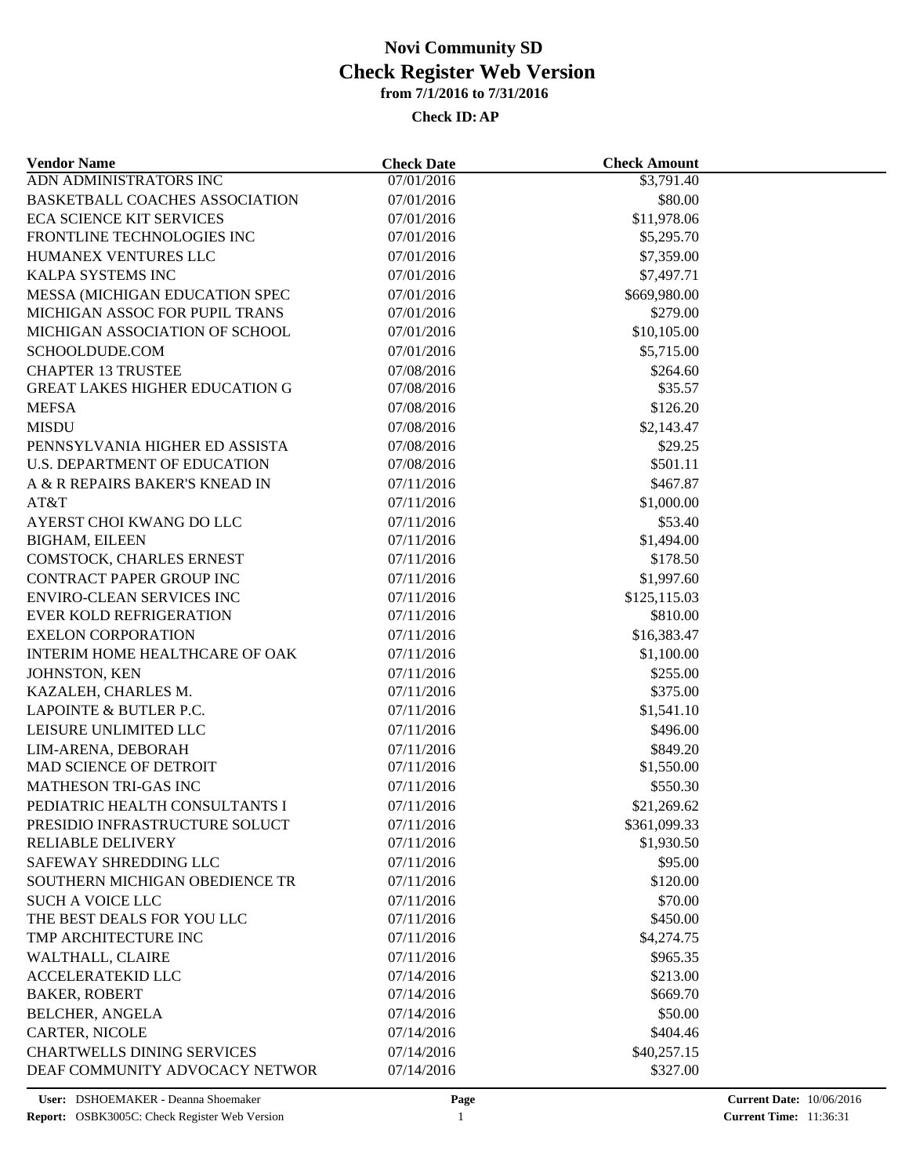| <b>Vendor Name</b>                           | <b>Check Date</b> | <b>Check Amount</b> |  |
|----------------------------------------------|-------------------|---------------------|--|
| ADN ADMINISTRATORS INC                       | 07/01/2016        | \$3,791.40          |  |
| <b>BASKETBALL COACHES ASSOCIATION</b>        | 07/01/2016        | \$80.00             |  |
| <b>ECA SCIENCE KIT SERVICES</b>              | 07/01/2016        | \$11,978.06         |  |
| FRONTLINE TECHNOLOGIES INC                   | 07/01/2016        | \$5,295.70          |  |
| HUMANEX VENTURES LLC                         | 07/01/2016        | \$7,359.00          |  |
| KALPA SYSTEMS INC                            | 07/01/2016        | \$7,497.71          |  |
| MESSA (MICHIGAN EDUCATION SPEC               | 07/01/2016        | \$669,980.00        |  |
| MICHIGAN ASSOC FOR PUPIL TRANS               | 07/01/2016        | \$279.00            |  |
| MICHIGAN ASSOCIATION OF SCHOOL               | 07/01/2016        | \$10,105.00         |  |
| SCHOOLDUDE.COM                               | 07/01/2016        | \$5,715.00          |  |
| <b>CHAPTER 13 TRUSTEE</b>                    | 07/08/2016        | \$264.60            |  |
| <b>GREAT LAKES HIGHER EDUCATION G</b>        | 07/08/2016        | \$35.57             |  |
| <b>MEFSA</b>                                 | 07/08/2016        | \$126.20            |  |
| <b>MISDU</b>                                 | 07/08/2016        | \$2,143.47          |  |
| PENNSYLVANIA HIGHER ED ASSISTA               | 07/08/2016        | \$29.25             |  |
| U.S. DEPARTMENT OF EDUCATION                 | 07/08/2016        | \$501.11            |  |
| A & R REPAIRS BAKER'S KNEAD IN               | 07/11/2016        | \$467.87            |  |
| AT&T                                         | 07/11/2016        | \$1,000.00          |  |
| AYERST CHOI KWANG DO LLC                     | 07/11/2016        | \$53.40             |  |
| <b>BIGHAM, EILEEN</b>                        | 07/11/2016        | \$1,494.00          |  |
| COMSTOCK, CHARLES ERNEST                     | 07/11/2016        | \$178.50            |  |
| CONTRACT PAPER GROUP INC                     | 07/11/2016        | \$1,997.60          |  |
| <b>ENVIRO-CLEAN SERVICES INC</b>             | 07/11/2016        | \$125,115.03        |  |
| <b>EVER KOLD REFRIGERATION</b>               | 07/11/2016        | \$810.00            |  |
| <b>EXELON CORPORATION</b>                    | 07/11/2016        | \$16,383.47         |  |
| INTERIM HOME HEALTHCARE OF OAK               | 07/11/2016        | \$1,100.00          |  |
| JOHNSTON, KEN                                | 07/11/2016        | \$255.00            |  |
| KAZALEH, CHARLES M.                          | 07/11/2016        | \$375.00            |  |
| LAPOINTE & BUTLER P.C.                       | 07/11/2016        | \$1,541.10          |  |
| LEISURE UNLIMITED LLC                        | 07/11/2016        | \$496.00            |  |
|                                              |                   |                     |  |
| LIM-ARENA, DEBORAH<br>MAD SCIENCE OF DETROIT | 07/11/2016        | \$849.20            |  |
| MATHESON TRI-GAS INC                         | 07/11/2016        | \$1,550.00          |  |
|                                              | 07/11/2016        | \$550.30            |  |
| PEDIATRIC HEALTH CONSULTANTS I               | 07/11/2016        | \$21,269.62         |  |
| PRESIDIO INFRASTRUCTURE SOLUCT               | 07/11/2016        | \$361,099.33        |  |
| <b>RELIABLE DELIVERY</b>                     | 07/11/2016        | \$1,930.50          |  |
| SAFEWAY SHREDDING LLC                        | 07/11/2016        | \$95.00             |  |
| SOUTHERN MICHIGAN OBEDIENCE TR               | 07/11/2016        | \$120.00            |  |
| <b>SUCH A VOICE LLC</b>                      | 07/11/2016        | \$70.00             |  |
| THE BEST DEALS FOR YOU LLC                   | 07/11/2016        | \$450.00            |  |
| TMP ARCHITECTURE INC                         | 07/11/2016        | \$4,274.75          |  |
| WALTHALL, CLAIRE                             | 07/11/2016        | \$965.35            |  |
| <b>ACCELERATEKID LLC</b>                     | 07/14/2016        | \$213.00            |  |
| <b>BAKER, ROBERT</b>                         | 07/14/2016        | \$669.70            |  |
| <b>BELCHER, ANGELA</b>                       | 07/14/2016        | \$50.00             |  |
| CARTER, NICOLE                               | 07/14/2016        | \$404.46            |  |
| <b>CHARTWELLS DINING SERVICES</b>            | 07/14/2016        | \$40,257.15         |  |
| DEAF COMMUNITY ADVOCACY NETWOR               | 07/14/2016        | \$327.00            |  |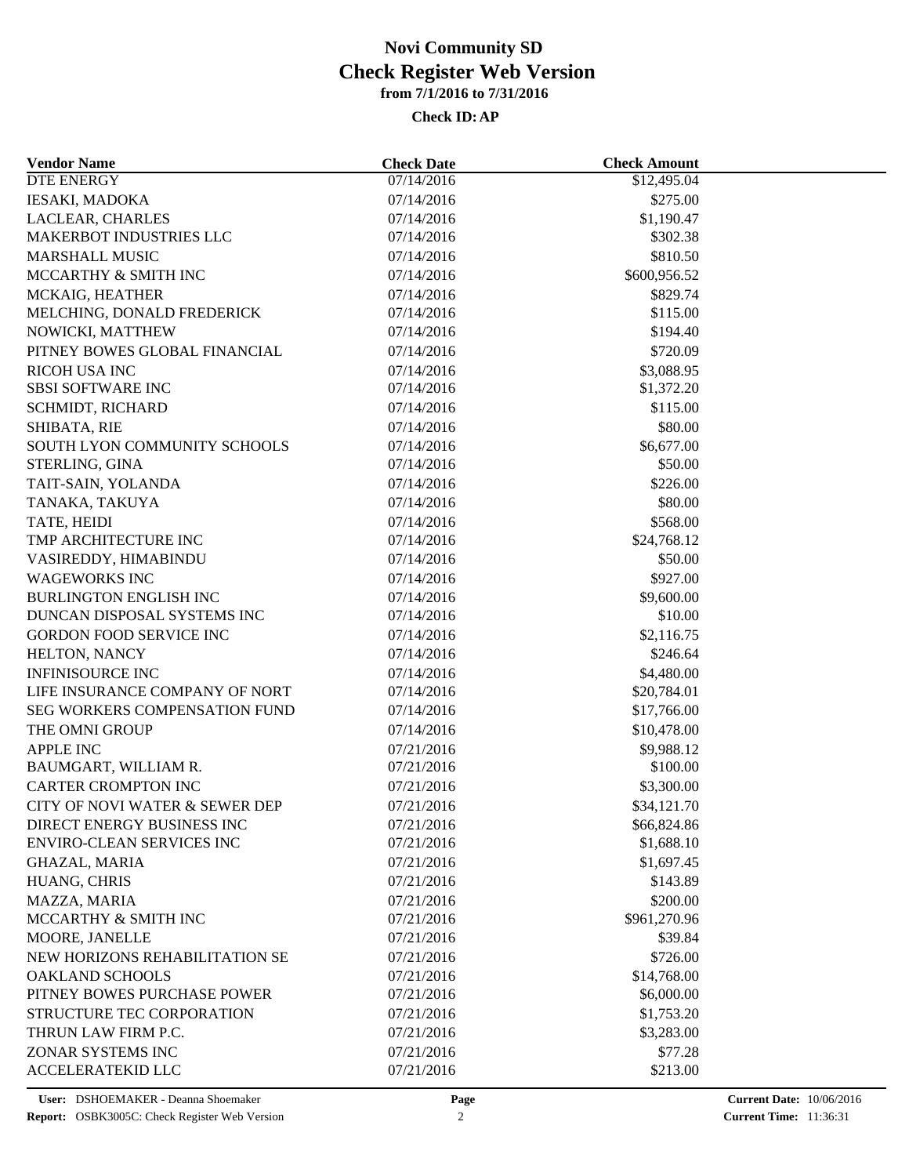| <b>Vendor Name</b>                            | <b>Check Date</b> | <b>Check Amount</b> |  |
|-----------------------------------------------|-------------------|---------------------|--|
| DTE ENERGY                                    | 07/14/2016        | \$12,495.04         |  |
| <b>IESAKI, MADOKA</b>                         | 07/14/2016        | \$275.00            |  |
| LACLEAR, CHARLES                              | 07/14/2016        | \$1,190.47          |  |
| <b>MAKERBOT INDUSTRIES LLC</b>                | 07/14/2016        | \$302.38            |  |
| <b>MARSHALL MUSIC</b>                         | 07/14/2016        | \$810.50            |  |
| MCCARTHY & SMITH INC                          | 07/14/2016        | \$600,956.52        |  |
| MCKAIG, HEATHER                               | 07/14/2016        | \$829.74            |  |
| MELCHING, DONALD FREDERICK                    | 07/14/2016        | \$115.00            |  |
| NOWICKI, MATTHEW                              | 07/14/2016        | \$194.40            |  |
| PITNEY BOWES GLOBAL FINANCIAL                 | 07/14/2016        | \$720.09            |  |
| RICOH USA INC                                 | 07/14/2016        | \$3,088.95          |  |
| <b>SBSI SOFTWARE INC</b>                      | 07/14/2016        | \$1,372.20          |  |
| SCHMIDT, RICHARD                              | 07/14/2016        | \$115.00            |  |
| SHIBATA, RIE                                  | 07/14/2016        | \$80.00             |  |
| SOUTH LYON COMMUNITY SCHOOLS                  | 07/14/2016        | \$6,677.00          |  |
| STERLING, GINA                                | 07/14/2016        | \$50.00             |  |
| TAIT-SAIN, YOLANDA                            | 07/14/2016        | \$226.00            |  |
| TANAKA, TAKUYA                                | 07/14/2016        | \$80.00             |  |
| TATE, HEIDI                                   | 07/14/2016        | \$568.00            |  |
| TMP ARCHITECTURE INC                          | 07/14/2016        | \$24,768.12         |  |
| VASIREDDY, HIMABINDU                          | 07/14/2016        | \$50.00             |  |
| <b>WAGEWORKS INC</b>                          | 07/14/2016        | \$927.00            |  |
| <b>BURLINGTON ENGLISH INC</b>                 | 07/14/2016        | \$9,600.00          |  |
| DUNCAN DISPOSAL SYSTEMS INC                   | 07/14/2016        | \$10.00             |  |
| GORDON FOOD SERVICE INC                       | 07/14/2016        | \$2,116.75          |  |
| HELTON, NANCY                                 | 07/14/2016        | \$246.64            |  |
| <b>INFINISOURCE INC</b>                       | 07/14/2016        | \$4,480.00          |  |
| LIFE INSURANCE COMPANY OF NORT                | 07/14/2016        | \$20,784.01         |  |
| SEG WORKERS COMPENSATION FUND                 | 07/14/2016        | \$17,766.00         |  |
| THE OMNI GROUP                                | 07/14/2016        | \$10,478.00         |  |
| APPLE INC                                     | 07/21/2016        | \$9,988.12          |  |
| BAUMGART, WILLIAM R.                          | 07/21/2016        | \$100.00            |  |
| CARTER CROMPTON INC                           | 07/21/2016        | \$3,300.00          |  |
| CITY OF NOVI WATER & SEWER DEP                | 07/21/2016        | \$34,121.70         |  |
| DIRECT ENERGY BUSINESS INC                    | 07/21/2016        | \$66,824.86         |  |
| <b>ENVIRO-CLEAN SERVICES INC</b>              | 07/21/2016        | \$1,688.10          |  |
| <b>GHAZAL, MARIA</b>                          | 07/21/2016        | \$1,697.45          |  |
| HUANG, CHRIS                                  | 07/21/2016        | \$143.89            |  |
| MAZZA, MARIA                                  | 07/21/2016        | \$200.00            |  |
| MCCARTHY & SMITH INC                          | 07/21/2016        | \$961,270.96        |  |
| MOORE, JANELLE                                | 07/21/2016        | \$39.84             |  |
| NEW HORIZONS REHABILITATION SE                | 07/21/2016        | \$726.00            |  |
| <b>OAKLAND SCHOOLS</b>                        | 07/21/2016        | \$14,768.00         |  |
| PITNEY BOWES PURCHASE POWER                   | 07/21/2016        | \$6,000.00          |  |
| STRUCTURE TEC CORPORATION                     | 07/21/2016        | \$1,753.20          |  |
|                                               |                   |                     |  |
| THRUN LAW FIRM P.C.                           | 07/21/2016        | \$3,283.00          |  |
| ZONAR SYSTEMS INC<br><b>ACCELERATEKID LLC</b> | 07/21/2016        | \$77.28             |  |
|                                               | 07/21/2016        | \$213.00            |  |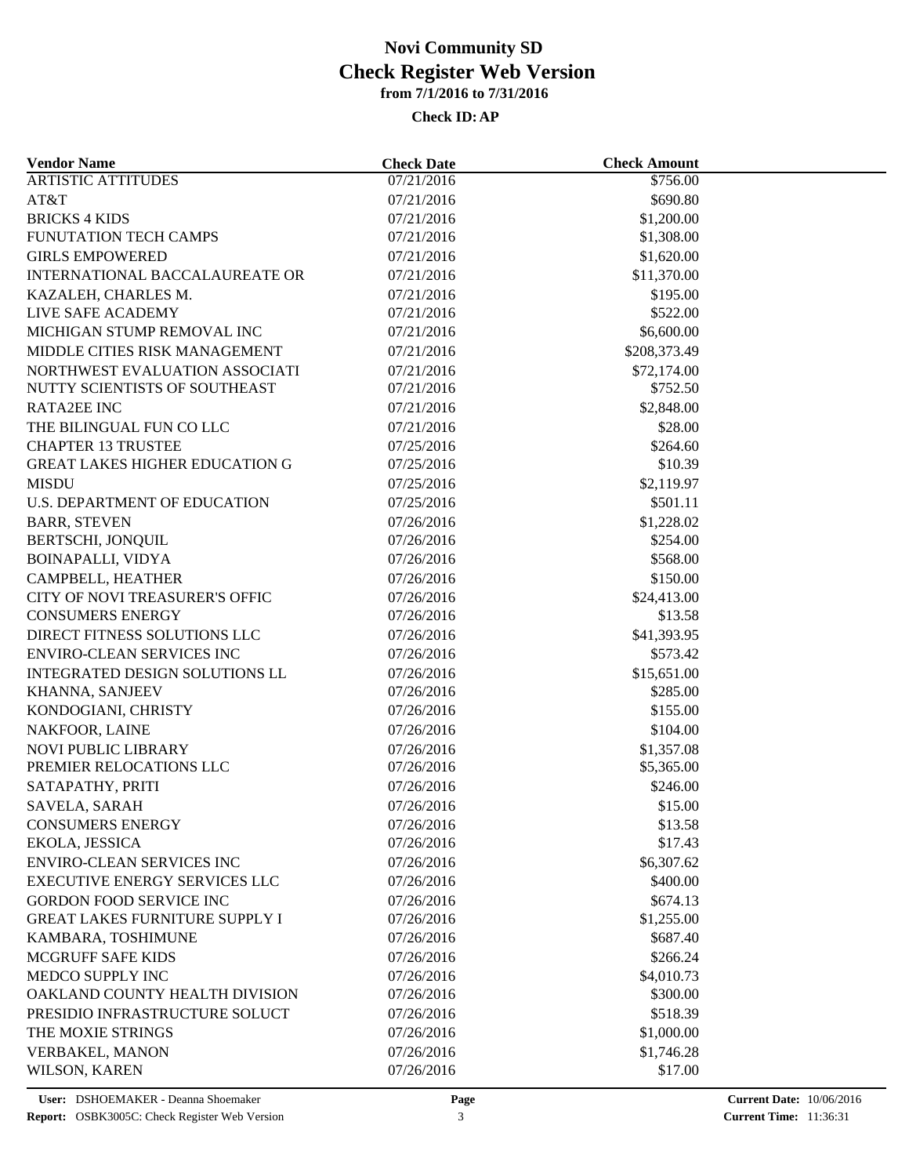| <b>Vendor Name</b>                                                      | <b>Check Date</b>        | <b>Check Amount</b>    |  |
|-------------------------------------------------------------------------|--------------------------|------------------------|--|
| <b>ARTISTIC ATTITUDES</b>                                               | $\sqrt{07/21/201}$ 6     | \$756.00               |  |
| AT&T                                                                    | 07/21/2016               | \$690.80               |  |
| <b>BRICKS 4 KIDS</b>                                                    | 07/21/2016               | \$1,200.00             |  |
| FUNUTATION TECH CAMPS                                                   | 07/21/2016               | \$1,308.00             |  |
| <b>GIRLS EMPOWERED</b>                                                  | 07/21/2016               | \$1,620.00             |  |
| INTERNATIONAL BACCALAUREATE OR                                          | 07/21/2016               | \$11,370.00            |  |
| KAZALEH, CHARLES M.                                                     | 07/21/2016               | \$195.00               |  |
| LIVE SAFE ACADEMY                                                       | 07/21/2016               | \$522.00               |  |
| MICHIGAN STUMP REMOVAL INC                                              | 07/21/2016               | \$6,600.00             |  |
| MIDDLE CITIES RISK MANAGEMENT                                           | 07/21/2016               | \$208,373.49           |  |
| NORTHWEST EVALUATION ASSOCIATI                                          | 07/21/2016               | \$72,174.00            |  |
| NUTTY SCIENTISTS OF SOUTHEAST                                           | 07/21/2016               | \$752.50               |  |
| <b>RATA2EE INC</b>                                                      | 07/21/2016               | \$2,848.00             |  |
| THE BILINGUAL FUN CO LLC                                                | 07/21/2016               | \$28.00                |  |
| <b>CHAPTER 13 TRUSTEE</b>                                               | 07/25/2016               | \$264.60               |  |
| <b>GREAT LAKES HIGHER EDUCATION G</b>                                   | 07/25/2016               | \$10.39                |  |
| <b>MISDU</b>                                                            | 07/25/2016               | \$2,119.97             |  |
| U.S. DEPARTMENT OF EDUCATION                                            | 07/25/2016               | \$501.11               |  |
| <b>BARR, STEVEN</b>                                                     | 07/26/2016               | \$1,228.02             |  |
| BERTSCHI, JONQUIL                                                       | 07/26/2016               | \$254.00               |  |
| <b>BOINAPALLI, VIDYA</b>                                                | 07/26/2016               | \$568.00               |  |
| CAMPBELL, HEATHER                                                       | 07/26/2016               | \$150.00               |  |
| CITY OF NOVI TREASURER'S OFFIC                                          | 07/26/2016               | \$24,413.00            |  |
| <b>CONSUMERS ENERGY</b>                                                 | 07/26/2016               | \$13.58                |  |
| DIRECT FITNESS SOLUTIONS LLC                                            | 07/26/2016               | \$41,393.95            |  |
| <b>ENVIRO-CLEAN SERVICES INC</b>                                        | 07/26/2016               | \$573.42               |  |
| INTEGRATED DESIGN SOLUTIONS LL                                          | 07/26/2016               | \$15,651.00            |  |
| KHANNA, SANJEEV                                                         | 07/26/2016               | \$285.00               |  |
| KONDOGIANI, CHRISTY                                                     | 07/26/2016               | \$155.00               |  |
| NAKFOOR, LAINE                                                          | 07/26/2016               | \$104.00               |  |
| <b>NOVI PUBLIC LIBRARY</b>                                              | 07/26/2016               | \$1,357.08             |  |
| PREMIER RELOCATIONS LLC                                                 | 07/26/2016               | \$5,365.00             |  |
| SATAPATHY, PRITI                                                        | 07/26/2016               | \$246.00               |  |
| SAVELA, SARAH                                                           | 07/26/2016               | \$15.00                |  |
| <b>CONSUMERS ENERGY</b>                                                 | 07/26/2016               | \$13.58                |  |
| EKOLA, JESSICA                                                          | 07/26/2016               | \$17.43                |  |
| <b>ENVIRO-CLEAN SERVICES INC</b>                                        | 07/26/2016               | \$6,307.62             |  |
| <b>EXECUTIVE ENERGY SERVICES LLC</b>                                    | 07/26/2016               | \$400.00               |  |
|                                                                         |                          |                        |  |
| <b>GORDON FOOD SERVICE INC</b><br><b>GREAT LAKES FURNITURE SUPPLY I</b> | 07/26/2016<br>07/26/2016 | \$674.13<br>\$1,255.00 |  |
|                                                                         |                          | \$687.40               |  |
| KAMBARA, TOSHIMUNE                                                      | 07/26/2016               |                        |  |
| MCGRUFF SAFE KIDS                                                       | 07/26/2016               | \$266.24               |  |
| MEDCO SUPPLY INC                                                        | 07/26/2016               | \$4,010.73             |  |
| OAKLAND COUNTY HEALTH DIVISION                                          | 07/26/2016               | \$300.00               |  |
| PRESIDIO INFRASTRUCTURE SOLUCT                                          | 07/26/2016               | \$518.39               |  |
| THE MOXIE STRINGS                                                       | 07/26/2016               | \$1,000.00             |  |
| VERBAKEL, MANON                                                         | 07/26/2016               | \$1,746.28             |  |
| WILSON, KAREN                                                           | 07/26/2016               | \$17.00                |  |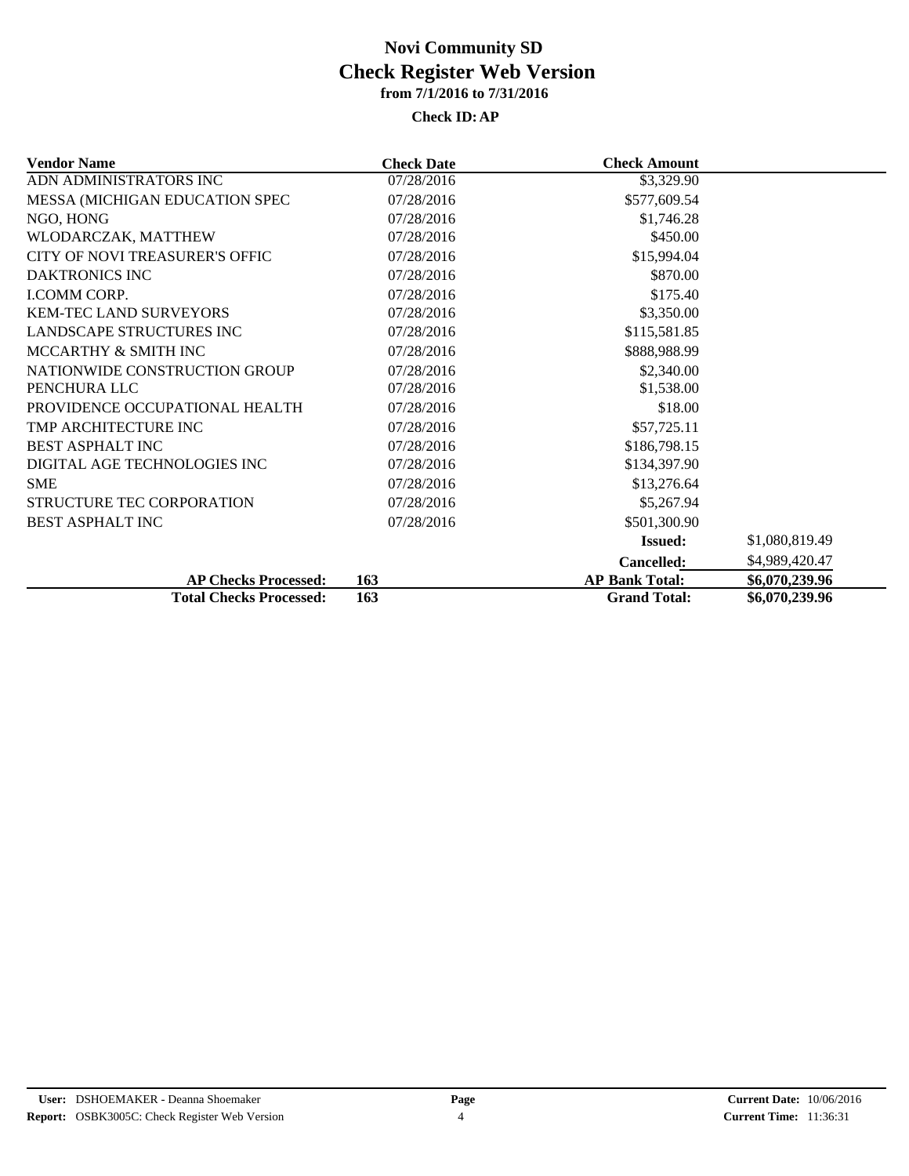| <b>Vendor Name</b>             | <b>Check Date</b> | <b>Check Amount</b>   |                |
|--------------------------------|-------------------|-----------------------|----------------|
| ADN ADMINISTRATORS INC         | 07/28/2016        | \$3,329.90            |                |
| MESSA (MICHIGAN EDUCATION SPEC | 07/28/2016        | \$577,609.54          |                |
| NGO, HONG                      | 07/28/2016        | \$1,746.28            |                |
| WLODARCZAK, MATTHEW            | 07/28/2016        | \$450.00              |                |
| CITY OF NOVI TREASURER'S OFFIC | 07/28/2016        | \$15,994.04           |                |
| <b>DAKTRONICS INC</b>          | 07/28/2016        | \$870.00              |                |
| <b>LCOMM CORP.</b>             | 07/28/2016        | \$175.40              |                |
| <b>KEM-TEC LAND SURVEYORS</b>  | 07/28/2016        | \$3,350.00            |                |
| LANDSCAPE STRUCTURES INC       | 07/28/2016        | \$115,581.85          |                |
| MCCARTHY & SMITH INC           | 07/28/2016        | \$888,988.99          |                |
| NATIONWIDE CONSTRUCTION GROUP  | 07/28/2016        | \$2,340.00            |                |
| PENCHURA LLC                   | 07/28/2016        | \$1,538.00            |                |
| PROVIDENCE OCCUPATIONAL HEALTH | 07/28/2016        | \$18.00               |                |
| TMP ARCHITECTURE INC           | 07/28/2016        | \$57,725.11           |                |
| <b>BEST ASPHALT INC</b>        | 07/28/2016        | \$186,798.15          |                |
| DIGITAL AGE TECHNOLOGIES INC   | 07/28/2016        | \$134,397.90          |                |
| <b>SME</b>                     | 07/28/2016        | \$13,276.64           |                |
| STRUCTURE TEC CORPORATION      | 07/28/2016        | \$5,267.94            |                |
| <b>BEST ASPHALT INC</b>        | 07/28/2016        | \$501,300.90          |                |
|                                |                   | <b>Issued:</b>        | \$1,080,819.49 |
|                                |                   | <b>Cancelled:</b>     | \$4,989,420.47 |
| <b>AP Checks Processed:</b>    | 163               | <b>AP Bank Total:</b> | \$6,070,239.96 |
| <b>Total Checks Processed:</b> | 163               | <b>Grand Total:</b>   | \$6,070,239.96 |